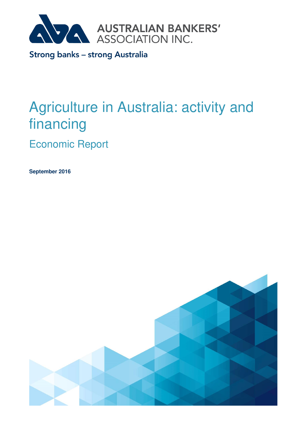

Strong banks - strong Australia

# Agriculture in Australia: activity and financing

Economic Report

**September 2016** 

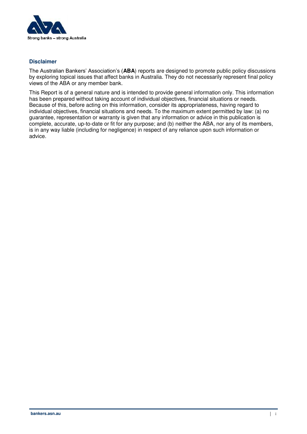

#### **Disclaimer**

The Australian Bankers' Association's (**ABA**) reports are designed to promote public policy discussions by exploring topical issues that affect banks in Australia. They do not necessarily represent final policy views of the ABA or any member bank.

This Report is of a general nature and is intended to provide general information only. This information has been prepared without taking account of individual objectives, financial situations or needs. Because of this, before acting on this information, consider its appropriateness, having regard to individual objectives, financial situations and needs. To the maximum extent permitted by law: (a) no guarantee, representation or warranty is given that any information or advice in this publication is complete, accurate, up-to-date or fit for any purpose; and (b) neither the ABA, nor any of its members, is in any way liable (including for negligence) in respect of any reliance upon such information or advice.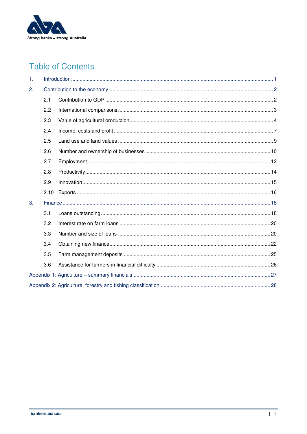

# **Table of Contents**

| 1. |      |  |  |  |  |
|----|------|--|--|--|--|
| 2. |      |  |  |  |  |
|    | 2.1  |  |  |  |  |
|    | 2.2  |  |  |  |  |
|    | 2.3  |  |  |  |  |
|    | 2.4  |  |  |  |  |
|    | 2.5  |  |  |  |  |
|    | 2.6  |  |  |  |  |
|    | 2.7  |  |  |  |  |
|    | 2.8  |  |  |  |  |
|    | 2.9  |  |  |  |  |
|    | 2.10 |  |  |  |  |
| 3. |      |  |  |  |  |
|    | 3.1  |  |  |  |  |
|    | 3.2  |  |  |  |  |
|    | 3.3  |  |  |  |  |
|    | 3.4  |  |  |  |  |
|    | 3.5  |  |  |  |  |
|    | 3.6  |  |  |  |  |
|    |      |  |  |  |  |
|    |      |  |  |  |  |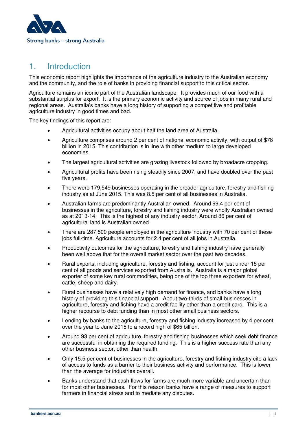

# <span id="page-3-0"></span>1. Introduction

This economic report highlights the importance of the agriculture industry to the Australian economy and the community, and the role of banks in providing financial support to this critical sector.

Agriculture remains an iconic part of the Australian landscape. It provides much of our food with a substantial surplus for export. It is the primary economic activity and source of jobs in many rural and regional areas. Australia's banks have a long history of supporting a competitive and profitable agriculture industry in good times and bad.

The key findings of this report are:

- Agricultural activities occupy about half the land area of Australia.
- Agriculture comprises around 2 per cent of national economic activity, with output of \$78 billion in 2015. This contribution is in line with other medium to large developed economies.
- The largest agricultural activities are grazing livestock followed by broadacre cropping.
- Agricultural profits have been rising steadily since 2007, and have doubled over the past five years.
- There were 179,549 businesses operating in the broader agriculture, forestry and fishing industry as at June 2015. This was 8.5 per cent of all businesses in Australia.
- Australian farms are predominantly Australian owned. Around 99.4 per cent of businesses in the agriculture, forestry and fishing industry were wholly Australian owned as at 2013-14. This is the highest of any industry sector. Around 86 per cent of agricultural land is Australian owned.
- There are 287,500 people employed in the agriculture industry with 70 per cent of these jobs full-time. Agriculture accounts for 2.4 per cent of all jobs in Australia.
- Productivity outcomes for the agriculture, forestry and fishing industry have generally been well above that for the overall market sector over the past two decades.
- Rural exports, including agriculture, forestry and fishing, account for just under 15 per cent of all goods and services exported from Australia. Australia is a major global exporter of some key rural commodities, being one of the top three exporters for wheat, cattle, sheep and dairy.
- Rural businesses have a relatively high demand for finance, and banks have a long history of providing this financial support. About two-thirds of small businesses in agriculture, forestry and fishing have a credit facility other than a credit card. This is a higher recourse to debt funding than in most other small business sectors.
- Lending by banks to the agriculture, forestry and fishing industry increased by 4 per cent over the year to June 2015 to a record high of \$65 billion.
- Around 93 per cent of agriculture, forestry and fishing businesses which seek debt finance are successful in obtaining the required funding. This is a higher success rate than any other business sector, other than health.
- Only 15.5 per cent of businesses in the agriculture, forestry and fishing industry cite a lack of access to funds as a barrier to their business activity and performance. This is lower than the average for industries overall.
- Banks understand that cash flows for farms are much more variable and uncertain than for most other businesses. For this reason banks have a range of measures to support farmers in financial stress and to mediate any disputes.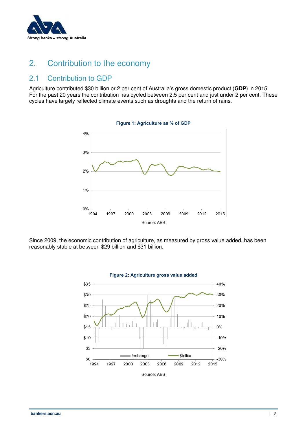

# <span id="page-4-0"></span>2. Contribution to the economy

# <span id="page-4-1"></span>2.1 Contribution to GDP

Agriculture contributed \$30 billion or 2 per cent of Australia's gross domestic product (**GDP**) in 2015. For the past 20 years the contribution has cycled between 2.5 per cent and just under 2 per cent. These cycles have largely reflected climate events such as droughts and the return of rains.



**Figure 1: Agriculture as % of GDP** 

Since 2009, the economic contribution of agriculture, as measured by gross value added, has been reasonably stable at between \$29 billion and \$31 billion.

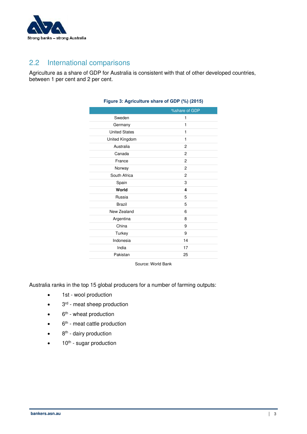

# <span id="page-5-0"></span>2.2 International comparisons

Agriculture as a share of GDP for Australia is consistent with that of other developed countries, between 1 per cent and 2 per cent.

| %share of GDP  |
|----------------|
| 1              |
| 1              |
| 1              |
| 1              |
| $\overline{2}$ |
| $\overline{2}$ |
| $\mathbf{2}$   |
| $\mathbf{2}$   |
| $\overline{2}$ |
| 3              |
| 4              |
| 5              |
| 5              |
| 6              |
| 8              |
| 9              |
| 9              |
| 14             |
| 17             |
| 25             |
|                |

#### **Figure 3: Agriculture share of GDP (%) (2015)**

Source: World Bank

Australia ranks in the top 15 global producers for a number of farming outputs:

- 1st wool production
- $\bullet$  3<sup>rd</sup> meat sheep production
- $\bullet$  6<sup>th</sup> wheat production
- 6th meat cattle production
- 8<sup>th</sup> dairy production
- $10<sup>th</sup>$  sugar production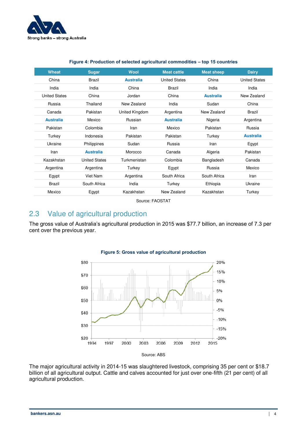

| <b>Wheat</b>         | <b>Sugar</b>         | <b>Wool</b>      | <b>Meat cattle</b>   | <b>Meat sheep</b> | <b>Dairy</b>         |
|----------------------|----------------------|------------------|----------------------|-------------------|----------------------|
| China                | <b>Brazil</b>        | <b>Australia</b> | <b>United States</b> | China             | <b>United States</b> |
| India                | India                | China            | Brazil               | India             | India                |
| <b>United States</b> | China                | Jordan           | China                | <b>Australia</b>  | New Zealand          |
| Russia               | Thailand             | New Zealand      | India                | Sudan             | China                |
| Canada               | Pakistan             | United Kingdom   | Argentina            | New Zealand       | Brazil               |
| <b>Australia</b>     | Mexico               | Russian          | <b>Australia</b>     | Nigeria           | Argentina            |
| Pakistan             | Colombia             | Iran             | Mexico               | Pakistan          | Russia               |
| Turkey               | Indonesia            | Pakistan         | Pakistan             | Turkey            | <b>Australia</b>     |
| Ukraine              | Philippines          | Sudan            | Russia               | Iran              | Egypt                |
| Iran                 | <b>Australia</b>     | Morocco          | Canada               | Algeria           | Pakistan             |
| Kazakhstan           | <b>United States</b> | Turkmenistan     | Colombia             | Bangladesh        | Canada               |
| Argentina            | Argentina            | Turkey           | Egypt                | Russia            | Mexico               |
| Egypt                | Viet Nam             | Argentina        | South Africa         | South Africa      | Iran                 |
| <b>Brazil</b>        | South Africa         | India            | Turkey               | Ethiopia          | Ukraine              |
| Mexico               | Egypt                | Kazakhstan       | New Zealand          | Kazakhstan        | Turkey               |

#### **Figure 4: Production of selected agricultural commodities – top 15 countries**

Source: FAOSTAT

# <span id="page-6-0"></span>2.3 Value of agricultural production

The gross value of Australia's agricultural production in 2015 was \$77.7 billion, an increase of 7.3 per cent over the previous year.



#### **Figure 5: Gross value of agricultural production**

The major agricultural activity in 2014-15 was slaughtered livestock, comprising 35 per cent or \$18.7 billion of all agricultural output. Cattle and calves accounted for just over one-fifth (21 per cent) of all agricultural production.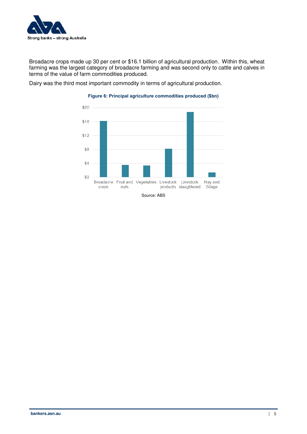

Broadacre crops made up 30 per cent or \$16.1 billion of agricultural production. Within this, wheat farming was the largest category of broadacre farming and was second only to cattle and calves in terms of the value of farm commodities produced.

Dairy was the third most important commodity in terms of agricultural production.



#### **Figure 6: Principal agriculture commodities produced (\$bn)**

Source: ABS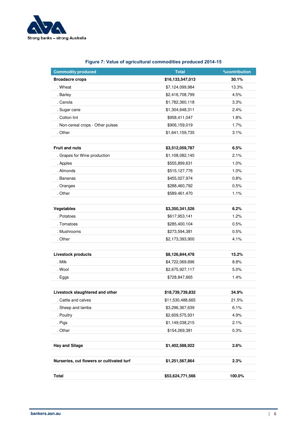

| <b>Commodity produced</b>                 | <b>Total</b>     | <b>%contribution</b> |  |  |
|-------------------------------------------|------------------|----------------------|--|--|
| <b>Broadacre crops</b>                    | \$16,133,547,013 | 30.1%                |  |  |
| . Wheat                                   | \$7,124,099,984  | 13.3%                |  |  |
| . Barley                                  | \$2,416,708,799  | 4.5%                 |  |  |
| . Canola                                  | \$1,782,360,118  | 3.3%                 |  |  |
| . Sugar cane                              | \$1,304,648,311  | 2.4%                 |  |  |
| . Cotton lint                             | \$958,411,047    | 1.8%                 |  |  |
| . Non-cereal crops - Other pulses         | \$906,159,019    | 1.7%                 |  |  |
| . Other                                   | \$1,641,159,735  | 3.1%                 |  |  |
|                                           |                  |                      |  |  |
| <b>Fruit and nuts</b>                     | \$3,512,059,787  | 6.5%                 |  |  |
| . Grapes for Wine production              | \$1,108,082,145  | 2.1%                 |  |  |
| . Apples                                  | \$555,899,631    | 1.0%                 |  |  |
| . Almonds                                 | \$515,127,776    | 1.0%                 |  |  |
| . Bananas                                 | \$455,027,974    | 0.8%                 |  |  |
| . Oranges                                 | \$288,460,792    | 0.5%                 |  |  |
| . Other                                   | \$589,461,470    | 1.1%                 |  |  |
|                                           |                  |                      |  |  |
| Vegetables                                | \$3,350,341,526  | 6.2%                 |  |  |
| . Potatoes                                | \$617,953,141    | 1.2%                 |  |  |
| . Tomatoes                                | \$285,400,104    | 0.5%                 |  |  |
| . Mushrooms                               | \$273,594,381    | 0.5%                 |  |  |
| . Other                                   | \$2,173,393,900  | 4.1%                 |  |  |
|                                           |                  |                      |  |  |
| <b>Livestock products</b>                 | \$8,126,844,478  | 15.2%                |  |  |
| . Milk                                    | \$4,722,069,696  | 8.8%                 |  |  |
| . Wool                                    | \$2,675,927,117  | 5.0%                 |  |  |
| . Eggs                                    | \$728,847,665    | 1.4%                 |  |  |
|                                           |                  |                      |  |  |
| Livestock slaughtered and other           | \$18,739,739,832 | 34.9%                |  |  |
| Cattle and calves                         | \$11,530,488,665 | 21.5%                |  |  |
| . Sheep and lambs                         | \$3,296,367,639  | 6.1%                 |  |  |
| . Poultry                                 | \$2,609,575,931  | 4.9%                 |  |  |
| . Pigs                                    | \$1,149,038,215  | 2.1%                 |  |  |
| . Other                                   | \$154,269,381    | 0.3%                 |  |  |
| <b>Hay and Silage</b>                     | \$1,402,588,922  | 2.6%                 |  |  |
|                                           |                  |                      |  |  |
| Nurseries, cut flowers or cultivated turf | \$1,251,567,864  | 2.3%                 |  |  |

**Total \$53,624,771,566 100.0%** 

#### **Figure 7: Value of agricultural commodities produced 2014-15**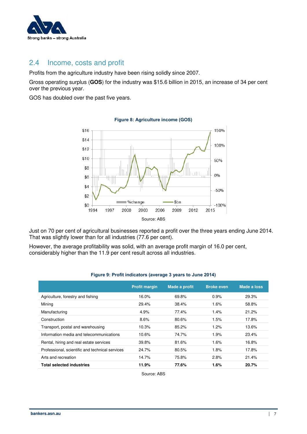

### <span id="page-9-0"></span>2.4 Income, costs and profit

Profits from the agriculture industry have been rising solidly since 2007.

Gross operating surplus (**GOS**) for the industry was \$15.6 billion in 2015, an increase of 34 per cent over the previous year.

GOS has doubled over the past five years.



**Figure 8: Agriculture income (GOS)** 

Just on 70 per cent of agricultural businesses reported a profit over the three years ending June 2014. That was slightly lower than for all industries (77.6 per cent).

However, the average profitability was solid, with an average profit margin of 16.0 per cent, considerably higher than the 11.9 per cent result across all industries.

|                                          | <b>Profit margin</b> | Made a profit | <b>Broke even</b> | <b>Made a loss</b> |
|------------------------------------------|----------------------|---------------|-------------------|--------------------|
| Agriculture, forestry and fishing        | 16.0%                | 69.8%         | 0.9%              | 29.3%              |
| Mining                                   | 29.4%                | 38.4%         | 1.6%              | 58.8%              |
| Manufacturing                            | 4.9%                 | 77.4%         | 1.4%              | 21.2%              |
| Construction                             | 8.6%                 | 80.6%         | 1.5%              | 17.8%              |
| Transport, postal and warehousing        | 10.3%                | 85.2%         | 1.2%              | 13.6%              |
| Information media and telecommunications | 10.6%                | 74.7%         | 1.9%              | 23.4%              |

Rental, hiring and real estate services 39.8% 81.6% 1.6% 16.8% Professional, scientific and technical services 24.7% 80.5% 1.8% 17.8% 17.8% Arts and recreation 14.7% 75.8% 2.8% 21.4% **Total selected industries 11.9% 77.6% 1.6% 20.7%** 

#### **Figure 9: Profit indicators (average 3 years to June 2014)**

Source: ABS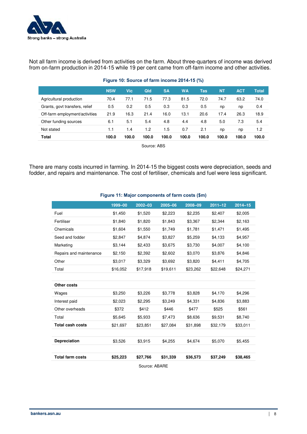

Not all farm income is derived from activities on the farm. About three-quarters of income was derived from on-farm production in 2014-15 while 19 per cent came from off-farm income and other activities.

|                                | <b>NSW</b> | <b>Vic</b> | Qld   | <b>SA</b> | <b>WA</b> | Tas   | <b>NT</b> | <b>ACT</b> | <b>Total</b> |
|--------------------------------|------------|------------|-------|-----------|-----------|-------|-----------|------------|--------------|
| Agricultural production        | 70.4       | 77.1       | 71.5  | 77.3      | 81.5      | 72.0  | 74.7      | 63.2       | 74.0         |
| Grants, govt transfers, relief | 0.5        | 0.2        | 0.5   | 0.3       | 0.3       | 0.5   | np        | np         | 0.4          |
| Off-farm employment/activities | 21.9       | 16.3       | 21.4  | 16.0      | 13.1      | 20.6  | 17.4      | 26.3       | 18.9         |
| Other funding sources          | 6.1        | 5.1        | 5.4   | 4.8       | 4.4       | 4.8   | 5.0       | 7.3        | 5.4          |
| Not stated                     | 1.1        | 1.4        | 1.2   | 1.5       | 0.7       | 2.1   | np        | np         | 1.2          |
| Total                          | 100.0      | 100.0      | 100.0 | 100.0     | 100.0     | 100.0 | 100.0     | 100.0      | 100.0        |
| Source: ABS                    |            |            |       |           |           |       |           |            |              |

#### **Figure 10: Source of farm income 2014-15 (%)**

There are many costs incurred in farming. In 2014-15 the biggest costs were depreciation, seeds and fodder, and repairs and maintenance. The cost of fertiliser, chemicals and fuel were less significant.

|                         | 1999-00  | $2002 - 03$ | 2005-06  | 2008-09  | $2011 - 12$ | $2014 - 15$ |
|-------------------------|----------|-------------|----------|----------|-------------|-------------|
| Fuel                    | \$1,450  | \$1,520     | \$2,223  | \$2,235  | \$2,407     | \$2,005     |
| Fertiliser              | \$1,840  | \$1,820     | \$1.843  | \$3,367  | \$2.344     | \$2,163     |
| Chemicals               | \$1,604  | \$1,550     | \$1,749  | \$1,781  | \$1,471     | \$1,495     |
| Seed and fodder         | \$2,847  | \$4,874     | \$3,827  | \$5,259  | \$4,133     | \$4,957     |
| Marketing               | \$3,144  | \$2,433     | \$3,675  | \$3,730  | \$4,007     | \$4,100     |
| Repairs and maintenance | \$2,150  | \$2,392     | \$2,602  | \$3,070  | \$3,876     | \$4,846     |
| Other                   | \$3,017  | \$3,329     | \$3,692  | \$3,820  | \$4,411     | \$4,705     |
| Total                   | \$16,052 | \$17,918    | \$19,611 | \$23,262 | \$22,648    | \$24,271    |
|                         |          |             |          |          |             |             |
| Other costs             |          |             |          |          |             |             |
| Wages                   | \$3,250  | \$3,226     | \$3,778  | \$3,828  | \$4,170     | \$4,296     |
| Interest paid           | \$2,023  | \$2,295     | \$3,249  | \$4,331  | \$4,836     | \$3,883     |
| Other overheads         | \$372    | \$412       | \$446    | \$477    | \$525       | \$561       |
| Total                   | \$5,645  | \$5,933     | \$7,473  | \$8,636  | \$9,531     | \$8,740     |
| <b>Total cash costs</b> | \$21,697 | \$23,851    | \$27,084 | \$31,898 | \$32,179    | \$33,011    |
|                         |          |             |          |          |             |             |
| <b>Depreciation</b>     | \$3,526  | \$3,915     | \$4,255  | \$4,674  | \$5,070     | \$5,455     |
|                         |          |             |          |          |             |             |
| <b>Total farm costs</b> | \$25,223 | \$27,766    | \$31,339 | \$36,573 | \$37,249    | \$38,465    |
| Source: ABARE           |          |             |          |          |             |             |

#### **Figure 11: Major components of farm costs (\$m)**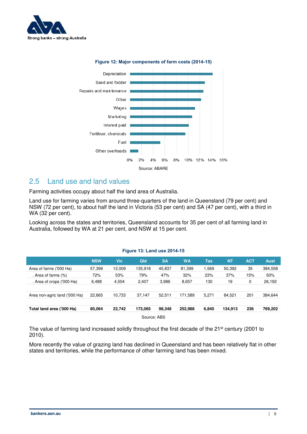



#### **Figure 12: Major components of farm costs (2014-15)**

### <span id="page-11-0"></span>2.5 Land use and land values

Farming activities occupy about half the land area of Australia.

Land use for farming varies from around three-quarters of the land in Queensland (79 per cent) and NSW (72 per cent), to about half the land in Victoria (53 per cent) and SA (47 per cent), with a third in WA (32 per cent).

Looking across the states and territories, Queensland accounts for 35 per cent of all farming land in Australia, followed by WA at 21 per cent, and NSW at 15 per cent.

#### **Figure 13: Land use 2014-15**

|                               | <b>NSW</b> | <b>Vic</b> | Qld     | <b>SA</b> | <b>WA</b> | Tas   | <b>NT</b> | <b>ACT</b> | <b>Aust</b> |
|-------------------------------|------------|------------|---------|-----------|-----------|-------|-----------|------------|-------------|
| Area of farms ('000 Ha)       | 57,399     | 12,009     | 135.918 | 45.837    | 81,399    | .569  | 50.392    | 35         | 384,558     |
| . Area of farms (%)           | 72%        | 53%        | 79%     | 47%       | 32%       | 23%   | 37%       | 15%        | 50%         |
| . Area of crops ('000 Ha)     | 6,488      | 4,504      | 2,407   | 3,986     | 8,657     | 130   | 19        | 0          | 26,192      |
|                               |            |            |         |           |           |       |           |            |             |
| Area non-agric land ('000 Ha) | 22,665     | 10,733     | 37.147  | 52.511    | 171.589   | 5.271 | 84.521    | 201        | 384,644     |
|                               |            |            |         |           |           |       |           |            |             |
| Total land area ('000 Ha)     | 80.064     | 22.742     | 173.065 | 98.348    | 252.988   | 6,840 | 134.913   | 236        | 769,202     |
| Source: ABS                   |            |            |         |           |           |       |           |            |             |

The value of farming land increased solidly throughout the first decade of the 21<sup>st</sup> century (2001 to 2010).

More recently the value of grazing land has declined in Queensland and has been relatively flat in other states and territories, while the performance of other farming land has been mixed.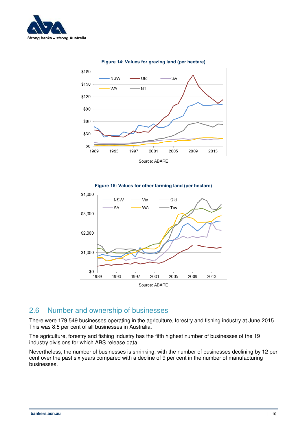







# <span id="page-12-0"></span>2.6 Number and ownership of businesses

There were 179,549 businesses operating in the agriculture, forestry and fishing industry at June 2015. This was 8.5 per cent of all businesses in Australia.

The agriculture, forestry and fishing industry has the fifth highest number of businesses of the 19 industry divisions for which ABS release data.

Nevertheless, the number of businesses is shrinking, with the number of businesses declining by 12 per cent over the past six years compared with a decline of 9 per cent in the number of manufacturing businesses.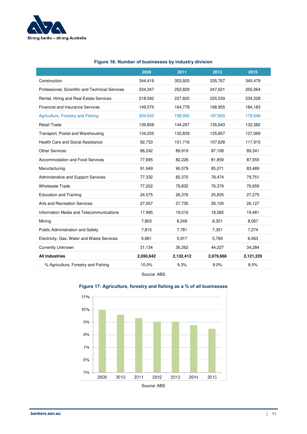

|                                                 | 2009      | 2011      | 2013      | 2015      |
|-------------------------------------------------|-----------|-----------|-----------|-----------|
| Construction                                    | 344,419   | 353,920   | 335,767   | 345,479   |
| Professional, Scientific and Technical Services | 234,347   | 252,829   | 247,621   | 255,064   |
| Rental, Hiring and Real Estate Services         | 218,592   | 227,820   | 225,539   | 234,228   |
| <b>Financial and Insurance Services</b>         | 149,575   | 164,778   | 168,955   | 184,183   |
| Agriculture, Forestry and Fishing               | 204,503   | 198,952   | 187,600   | 179,549   |
| <b>Retail Trade</b>                             | 139,808   | 144,297   | 135,643   | 132,382   |
| Transport, Postal and Warehousing               | 134,205   | 132,839   | 125,857   | 127,069   |
| Health Care and Social Assistance               | 92,733    | 101,716   | 107,628   | 117,915   |
| <b>Other Services</b>                           | 86,242    | 89,919    | 87,108    | 89,341    |
| Accommodation and Food Services                 | 77,695    | 82,226    | 81,859    | 87,555    |
| Manufacturing                                   | 91,949    | 90,579    | 85,071    | 83,489    |
| Administrative and Support Services             | 77,332    | 82,375    | 78,474    | 79,751    |
| <b>Wholesale Trade</b>                          | 77,202    | 79,832    | 76,379    | 76,659    |
| <b>Education and Training</b>                   | 24,575    | 26,376    | 25,835    | 27,275    |
| Arts and Recreation Services                    | 27,057    | 27,735    | 26,100    | 26,127    |
| Information Media and Telecommunications        | 17,995    | 19,010    | 18,582    | 19,481    |
| Mining                                          | 7,803     | 8,249     | 8,301     | 8,067     |
| Public Administration and Safety                | 7,815     | 7,781     | 7,351     | 7,274     |
| Electricity, Gas, Water and Waste Services      | 5,661     | 5,917     | 5,769     | 6,063     |
| <b>Currently Unknown</b>                        | 31,134    | 35,262    | 44,227    | 34,284    |
| <b>All Industries</b>                           | 2,050,642 | 2,132,412 | 2,079,666 | 2,121,235 |
| % Agriculture, Forestry and Fishing             | 10.0%     | 9.3%      | 9.0%      | 8.5%      |

#### **Figure 16: Number of businesses by industry division**

Source: ABS



#### **Figure 17: Agriculture, forestry and fishing as a % of all businesses**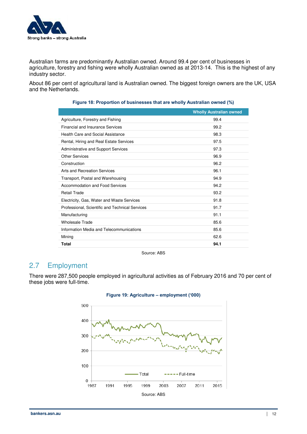

Australian farms are predominantly Australian owned. Around 99.4 per cent of businesses in agriculture, forestry and fishing were wholly Australian owned as at 2013-14. This is the highest of any industry sector.

About 86 per cent of agricultural land is Australian owned. The biggest foreign owners are the UK, USA and the Netherlands.

|                                                 | <b>Wholly Australian owned</b> |
|-------------------------------------------------|--------------------------------|
| Agriculture, Forestry and Fishing               | 99.4                           |
| <b>Financial and Insurance Services</b>         | 99.2                           |
| Health Care and Social Assistance               | 98.3                           |
| Rental, Hiring and Real Estate Services         | 97.5                           |
| Administrative and Support Services             | 97.3                           |
| <b>Other Services</b>                           | 96.9                           |
| Construction                                    | 96.2                           |
| Arts and Recreation Services                    | 96.1                           |
| Transport, Postal and Warehousing               | 94.9                           |
| Accommodation and Food Services                 | 94.2                           |
| <b>Retail Trade</b>                             | 93.2                           |
| Electricity, Gas, Water and Waste Services      | 91.8                           |
| Professional, Scientific and Technical Services | 91.7                           |
| Manufacturing                                   | 91.1                           |
| <b>Wholesale Trade</b>                          | 85.6                           |
| Information Media and Telecommunications        | 85.6                           |
| Mining                                          | 62.6                           |
| Total                                           | 94.1                           |

#### **Figure 18: Proportion of businesses that are wholly Australian owned (%)**

Source: ABS

# <span id="page-14-0"></span>2.7 Employment

There were 287,500 people employed in agricultural activities as of February 2016 and 70 per cent of these jobs were full-time.



#### **Figure 19: Agriculture – employment ('000)**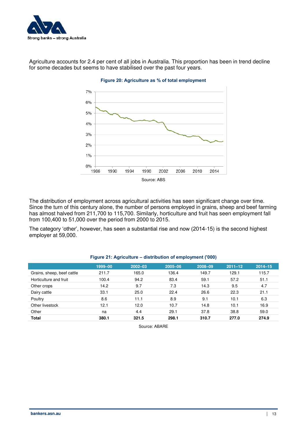

Agriculture accounts for 2.4 per cent of all jobs in Australia. This proportion has been in trend decline for some decades but seems to have stabilised over the past four years.



#### **Figure 20: Agriculture as % of total employment**

The distribution of employment across agricultural activities has seen significant change over time. Since the turn of this century alone, the number of persons employed in grains, sheep and beef farming has almost halved from 211,700 to 115,700. Similarly, horticulture and fruit has seen employment fall from 100,400 to 51,000 over the period from 2000 to 2015.

The category 'other', however, has seen a substantial rise and now (2014-15) is the second highest employer at 59,000.

|                            | 1999-00 | $2002 - 03$ | 2005-06 | 2008-09 | $2011 - 12$ | $2014 - 15$ |
|----------------------------|---------|-------------|---------|---------|-------------|-------------|
| Grains, sheep, beef cattle | 211.7   | 165.0       | 136.4   | 149.7   | 129.1       | 115.7       |
| Horticulture and fruit     | 100.4   | 94.2        | 83.4    | 59.1    | 57.2        | 51.1        |
| Other crops                | 14.2    | 9.7         | 7.3     | 14.3    | 9.5         | 4.7         |
| Dairy cattle               | 33.1    | 25.0        | 22.4    | 26.6    | 22.3        | 21.1        |
| Poultry                    | 8.6     | 11.1        | 8.9     | 9.1     | 10.1        | 6.3         |
| Other livestock            | 12.1    | 12.0        | 10.7    | 14.8    | 10.1        | 16.9        |
| Other                      | na      | 4.4         | 29.1    | 37.8    | 38.8        | 59.0        |
| <b>Total</b>               | 380.1   | 321.5       | 298.1   | 310.7   | 277.0       | 274.9       |

#### **Figure 21: Agriculture – distribution of employment ('000)**

Source: ABARE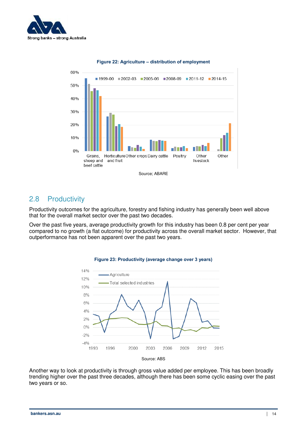



#### **Figure 22: Agriculture – distribution of employment**

### <span id="page-16-0"></span>2.8 Productivity

Productivity outcomes for the agriculture, forestry and fishing industry has generally been well above that for the overall market sector over the past two decades.

Over the past five years, average productivity growth for this industry has been 0.8 per cent per year compared to no growth (a flat outcome) for productivity across the overall market sector. However, that outperformance has not been apparent over the past two years.



#### **Figure 23: Productivity (average change over 3 years)**

Another way to look at productivity is through gross value added per employee. This has been broadly trending higher over the past three decades, although there has been some cyclic easing over the past two years or so.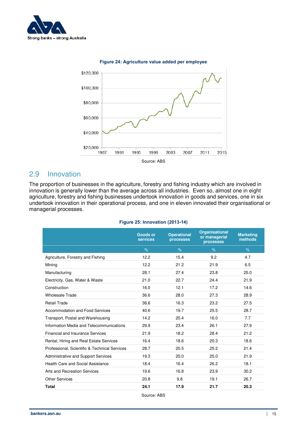





# <span id="page-17-0"></span>2.9 Innovation

The proportion of businesses in the agriculture, forestry and fishing industry which are involved in innovation is generally lower than the average across all industries. Even so, almost one in eight agriculture, forestry and fishing businesses undertook innovation in goods and services, one in six undertook innovation in their operational process, and one in eleven innovated their organisational or managerial processes.

|  |  | Figure 25: Innovation (2013-14) |  |
|--|--|---------------------------------|--|
|--|--|---------------------------------|--|

|                                               | <b>Goods or</b><br><b>services</b> | <b>Operational</b><br>processes | <b>Organisational</b><br>or managerial<br>processes | <b>Marketing</b><br>methods |
|-----------------------------------------------|------------------------------------|---------------------------------|-----------------------------------------------------|-----------------------------|
|                                               | $\%$                               | $\%$                            | $\%$                                                | $\%$                        |
| Agriculture, Forestry and Fishing             | 12.2                               | 15.4                            | 9.2                                                 | 4.7                         |
| Mining                                        | 12.2                               | 21.2                            | 21.9                                                | 6.5                         |
| Manufacturing                                 | 28.1                               | 27.4                            | 23.8                                                | 25.0                        |
| Electricity, Gas, Water & Waste               | 21.0                               | 22.7                            | 24.4                                                | 21.9                        |
| Construction                                  | 16.0                               | 12.1                            | 17.2                                                | 14.6                        |
| <b>Wholesale Trade</b>                        | 36.6                               | 28.0                            | 27.3                                                | 28.9                        |
| <b>Retail Trade</b>                           | 36.6                               | 16.3                            | 23.2                                                | 27.5                        |
| Accommodation and Food Services               | 40.6                               | 19.7                            | 25.5                                                | 28.7                        |
| Transport, Postal and Warehousing             | 14.2                               | 20.4                            | 16.0                                                | 7.7                         |
| Information Media and Telecommunications      | 29.9                               | 23.4                            | 26.1                                                | 27.9                        |
| <b>Financial and Insurance Services</b>       | 21.9                               | 18.2                            | 28.4                                                | 21.2                        |
| Rental, Hiring and Real Estate Services       | 16.4                               | 18.6                            | 20.3                                                | 18.6                        |
| Professional, Scientific & Technical Services | 28.7                               | 20.5                            | 25.2                                                | 21.4                        |
| Administrative and Support Services           | 19.3                               | 20.0                            | 25.0                                                | 21.9                        |
| Health Care and Social Assistance             | 18.4                               | 16.4                            | 26.2                                                | 18.1                        |
| Arts and Recreation Services                  | 19.6                               | 16.8                            | 23.9                                                | 30.2                        |
| <b>Other Services</b>                         | 20.8                               | 9.8                             | 19.1                                                | 26.7                        |
| <b>Total</b>                                  | 24.1                               | 17.9                            | 21.7                                                | 20.3                        |
|                                               |                                    |                                 |                                                     |                             |

Source: ABS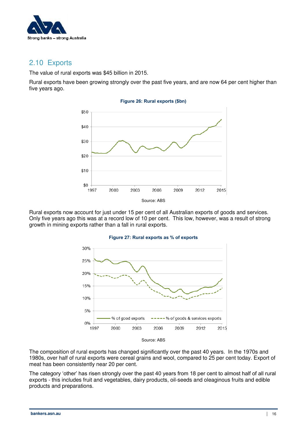

## <span id="page-18-0"></span>2.10 Exports

The value of rural exports was \$45 billion in 2015.

Rural exports have been growing strongly over the past five years, and are now 64 per cent higher than five years ago.



Rural exports now account for just under 15 per cent of all Australian exports of goods and services. Only five years ago this was at a record low of 10 per cent. This low, however, was a result of strong growth in mining exports rather than a fall in rural exports.



#### **Figure 27: Rural exports as % of exports**

The composition of rural exports has changed significantly over the past 40 years. In the 1970s and 1980s, over half of rural exports were cereal grains and wool, compared to 25 per cent today. Export of meat has been consistently near 20 per cent.

The category 'other' has risen strongly over the past 40 years from 18 per cent to almost half of all rural exports - this includes fruit and vegetables, dairy products, oil-seeds and oleaginous fruits and edible products and preparations.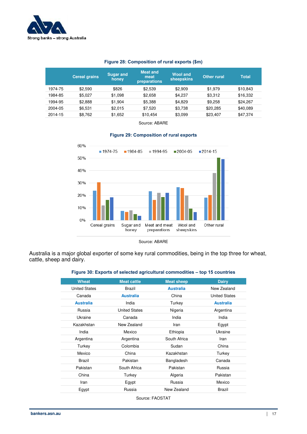

#### **Figure 28: Composition of rural exports (\$m)**

|         | <b>Cereal grains</b> | <b>Sugar and</b><br>honey | <b>Meat and</b><br>meat<br>preparations | <b>Wool and</b><br>sheepskins | Other rural | <b>Total</b> |
|---------|----------------------|---------------------------|-----------------------------------------|-------------------------------|-------------|--------------|
| 1974-75 | \$2.590              | \$826                     | \$2,539                                 | \$2,909                       | \$1,979     | \$10,843     |
| 1984-85 | \$5.027              | \$1,098                   | \$2.658                                 | \$4,237                       | \$3,312     | \$16,332     |
| 1994-95 | \$2.888              | \$1.904                   | \$5,388                                 | \$4.829                       | \$9,258     | \$24.267     |
| 2004-05 | \$6.531              | \$2.015                   | \$7.520                                 | \$3.738                       | \$20,285    | \$40.089     |
| 2014-15 | \$8.762              | \$1.652                   | \$10.454                                | \$3,099                       | \$23,407    | \$47,374     |

Source: ABARE



#### **Figure 29: Composition of rural exports**

Australia is a major global exporter of some key rural commodities, being in the top three for wheat, cattle, sheep and dairy.

#### **Figure 30: Exports of selected agricultural commodities – top 15 countries**

| <b>Wheat</b>         | <b>Meat cattle</b>   | <b>Meat sheep</b> | <b>Dairy</b>         |
|----------------------|----------------------|-------------------|----------------------|
| <b>United States</b> | <b>Brazil</b>        | <b>Australia</b>  | New Zealand          |
| Canada               | <b>Australia</b>     | China             | <b>United States</b> |
| <b>Australia</b>     | India                | Turkey            | <b>Australia</b>     |
| Russia               | <b>United States</b> | Nigeria           | Argentina            |
| Ukraine              | Canada               | India             | India                |
| Kazakhstan           | New Zealand          | Iran              | Egypt                |
| India                | Mexico               | Ethiopia          | Ukraine              |
| Argentina            | Argentina            | South Africa      | Iran                 |
| Turkey               | Colombia             | Sudan             | China                |
| Mexico               | China                | Kazakhstan        | Turkey               |
| Brazil               | Pakistan             | Bangladesh        | Canada               |
| Pakistan             | South Africa         | Pakistan          | Russia               |
| China                | Turkey               | Algeria           | Pakistan             |
| Iran                 | Egypt                | Russia            | Mexico               |
| Egypt                | Russia               | New Zealand       | Brazil               |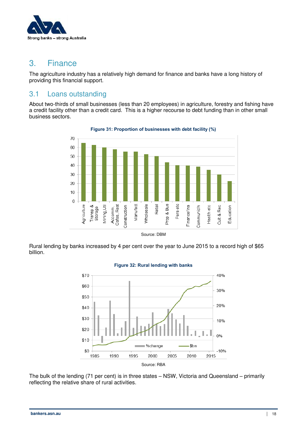

# <span id="page-20-0"></span>3. Finance

The agriculture industry has a relatively high demand for finance and banks have a long history of providing this financial support.

## <span id="page-20-1"></span>3.1 Loans outstanding

About two-thirds of small businesses (less than 20 employees) in agriculture, forestry and fishing have a credit facility other than a credit card. This is a higher recourse to debt funding than in other small business sectors.



**Figure 31: Proportion of businesses with debt facility (%)** 

Rural lending by banks increased by 4 per cent over the year to June 2015 to a record high of \$65 billion.



#### **Figure 32: Rural lending with banks**

The bulk of the lending (71 per cent) is in three states – NSW, Victoria and Queensland – primarily reflecting the relative share of rural activities.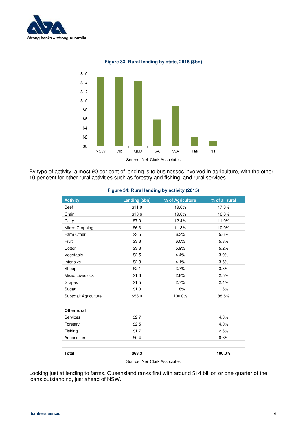



**Figure 33: Rural lending by state, 2015 (\$bn)** 

By type of activity, almost 90 per cent of lending is to businesses involved in agriculture, with the other 10 per cent for other rural activities such as forestry and fishing, and rural services.

| <b>Activity</b>        | Lending (\$bn)                | % of Agriculture | % of all rural |
|------------------------|-------------------------------|------------------|----------------|
| <b>Beef</b>            | \$11.0                        | 19.6%            | 17.3%          |
| Grain                  | \$10.6                        | 19.0%            | 16.8%          |
| Dairy                  | \$7.0                         | 12.4%            | 11.0%          |
| <b>Mixed Cropping</b>  | \$6.3                         | 11.3%            | 10.0%          |
| Farm Other             | \$3.5                         | 6.3%             | 5.6%           |
| Fruit                  | \$3.3                         | 6.0%             | 5.3%           |
| Cotton                 | \$3.3                         | 5.9%             | 5.2%           |
| Vegetable              | \$2.5                         | 4.4%             | 3.9%           |
| Intensive              | \$2.3                         | 4.1%             | 3.6%           |
| Sheep                  | \$2.1                         | 3.7%             | 3.3%           |
| <b>Mixed Livestock</b> | \$1.6                         | 2.8%             | 2.5%           |
| Grapes                 | \$1.5                         | 2.7%             | 2.4%           |
| Sugar                  | \$1.0                         | 1.8%             | 1.6%           |
| Subtotal: Agriculture  | \$56.0                        | 100.0%           | 88.5%          |
|                        |                               |                  |                |
| Other rural            |                               |                  |                |
| Services               | \$2.7                         |                  | 4.3%           |
| Forestry               | \$2.5                         |                  | 4.0%           |
| Fishing                | \$1.7                         |                  | 2.6%           |
| Aquaculture            | \$0.4                         |                  | 0.6%           |
|                        |                               |                  |                |
| <b>Total</b>           | \$63.3                        |                  | 100.0%         |
|                        | Source: Neil Clark Associates |                  |                |

#### **Figure 34: Rural lending by activity (2015)**

Looking just at lending to farms, Queensland ranks first with around \$14 billion or one quarter of the loans outstanding, just ahead of NSW.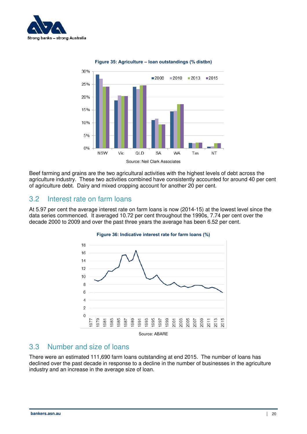



**Figure 35: Agriculture – loan outstandings (% distbn)** 

Beef farming and grains are the two agricultural activities with the highest levels of debt across the agriculture industry. These two activities combined have consistently accounted for around 40 per cent of agriculture debt. Dairy and mixed cropping account for another 20 per cent.

### <span id="page-22-0"></span>3.2 Interest rate on farm loans

At 5.97 per cent the average interest rate on farm loans is now (2014-15) at the lowest level since the data series commenced. It averaged 10.72 per cent throughout the 1990s, 7.74 per cent over the decade 2000 to 2009 and over the past three years the average has been 6.52 per cent.



#### **Figure 36: Indicative interest rate for farm loans (%)**

### <span id="page-22-1"></span>3.3 Number and size of loans

There were an estimated 111,690 farm loans outstanding at end 2015. The number of loans has declined over the past decade in response to a decline in the number of businesses in the agriculture industry and an increase in the average size of loan.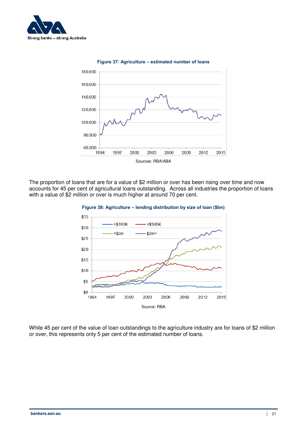





The proportion of loans that are for a value of \$2 million or over has been rising over time and now accounts for 45 per cent of agricultural loans outstanding. Across all industries the proportion of loans with a value of \$2 million or over is much higher at around 70 per cent.



**Figure 38: Agriculture – lending distribution by size of loan (\$bn)** 

While 45 per cent of the value of loan outstandings to the agriculture industry are for loans of \$2 million or over, this represents only 5 per cent of the estimated number of loans.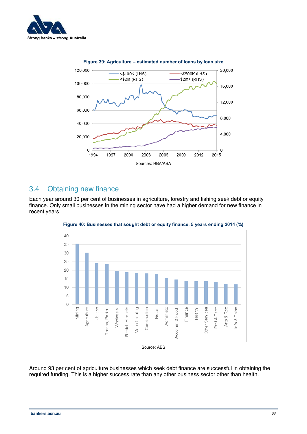



# <span id="page-24-0"></span>3.4 Obtaining new finance

Each year around 30 per cent of businesses in agriculture, forestry and fishing seek debt or equity finance. Only small businesses in the mining sector have had a higher demand for new finance in recent years.





Around 93 per cent of agriculture businesses which seek debt finance are successful in obtaining the required funding. This is a higher success rate than any other business sector other than health.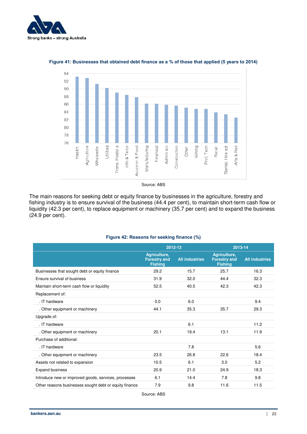



#### **Figure 41: Businesses that obtained debt finance as a % of those that applied (5 years to 2014)**

Source: ABS

The main reasons for seeking debt or equity finance by businesses in the agriculture, forestry and fishing industry is to ensure survival of the business (44.4 per cent), to maintain short-term cash flow or liquidity (42.3 per cent), to replace equipment or machinery (35.7 per cent) and to expand the business (24.9 per cent).

|                                                        | 2012-13                                               |                       | 2013-14                                               |                       |  |
|--------------------------------------------------------|-------------------------------------------------------|-----------------------|-------------------------------------------------------|-----------------------|--|
|                                                        | Agriculture,<br><b>Forestry and</b><br><b>Fishing</b> | <b>All industries</b> | Agriculture,<br><b>Forestry and</b><br><b>Fishing</b> | <b>All industries</b> |  |
| Businesses that sought debt or equity finance          | 29.2                                                  | 15.7                  | 25.7                                                  | 16.3                  |  |
| Ensure survival of business                            | 31.9                                                  | 32.0                  | 44.4                                                  | 32.3                  |  |
| Maintain short-term cash flow or liquidity             | 52.5                                                  | 40.5                  | 42.3                                                  | 42.3                  |  |
| Replacement of:                                        |                                                       |                       |                                                       |                       |  |
| . IT hardware                                          | 0.0                                                   | 6.0                   |                                                       | 9.4                   |  |
| . Other equipment or machinery                         | 44.1                                                  | 35.3                  | 35.7                                                  | 29.3                  |  |
| Upgrade of:                                            |                                                       |                       |                                                       |                       |  |
| . IT hardware                                          |                                                       | 6.1                   |                                                       | 11.2                  |  |
| . Other equipment or machinery                         | 20.1                                                  | 19.4                  | 13.1                                                  | 11.9                  |  |
| Purchase of additional:                                |                                                       |                       |                                                       |                       |  |
| . IT hardware                                          |                                                       | 7.8                   |                                                       | 5.6                   |  |
| . Other equipment or machinery                         | 23.5                                                  | 26.8                  | 22.6                                                  | 18.4                  |  |
| Assets not related to expansion                        | 10.5                                                  | 6.1                   | 3.0                                                   | 5.2                   |  |
| <b>Expand business</b>                                 | 20.9                                                  | 21.0                  | 24.9                                                  | 18.3                  |  |
| Introduce new or improved goods, services, processes   | 6.1                                                   | 14.4                  | 7.8                                                   | 9.8                   |  |
| Other reasons businesses sought debt or equity finance | 7.9                                                   | 9.8                   | 11.6                                                  | 11.5                  |  |
|                                                        |                                                       |                       |                                                       |                       |  |

#### **Figure 42: Reasons for seeking finance (%)**

Source: ABS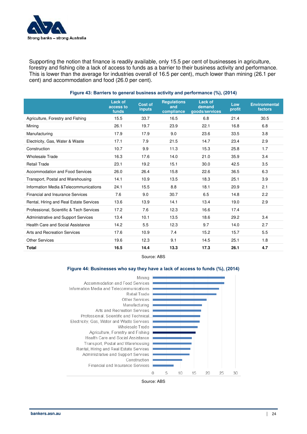

Supporting the notion that finance is readily available, only 15.5 per cent of businesses in agriculture, forestry and fishing cite a lack of access to funds as a barrier to their business activity and performance. This is lower than the average for industries overall of 16.5 per cent), much lower than mining (26.1 per cent) and accommodation and food (26.0 per cent).

|                                          | Lack of<br>access to<br>funds | <b>Cost of</b><br><b>inputs</b> | <b>Requlations</b><br>and<br>compliance | <b>Lack of</b><br>demand<br>goods/services | Low<br>profit | <b>Environmental</b><br>factors |
|------------------------------------------|-------------------------------|---------------------------------|-----------------------------------------|--------------------------------------------|---------------|---------------------------------|
| Agriculture, Forestry and Fishing        | 15.5                          | 33.7                            | 16.5                                    | 6.8                                        | 21.4          | 30.5                            |
| Mining                                   | 26.1                          | 19.7                            | 23.9                                    | 22.1                                       | 16.8          | 6.8                             |
| Manufacturing                            | 17.9                          | 17.9                            | 9.0                                     | 23.6                                       | 33.5          | 3.8                             |
| Electricity, Gas, Water & Waste          | 17.1                          | 7.9                             | 21.5                                    | 14.7                                       | 23.4          | 2.9                             |
| Construction                             | 10.7                          | 9.9                             | 11.3                                    | 15.3                                       | 25.8          | 1.7                             |
| <b>Wholesale Trade</b>                   | 16.3                          | 17.6                            | 14.0                                    | 21.0                                       | 35.9          | 3.4                             |
| <b>Retail Trade</b>                      | 23.1                          | 19.2                            | 15.1                                    | 30.0                                       | 42.5          | 3.5                             |
| Accommodation and Food Services          | 26.0                          | 26.4                            | 15.8                                    | 22.6                                       | 36.5          | 6.3                             |
| Transport, Postal and Warehousing        | 14.1                          | 10.9                            | 13.5                                    | 18.3                                       | 25.1          | 3.9                             |
| Information Media & Telecommunications   | 24.1                          | 15.5                            | 8.8                                     | 18.1                                       | 20.9          | 2.1                             |
| <b>Financial and Insurance Services</b>  | 7.6                           | 9.0                             | 30.7                                    | 6.5                                        | 14.8          | 2.2                             |
| Rental, Hiring and Real Estate Services  | 13.6                          | 13.9                            | 14.1                                    | 13.4                                       | 19.0          | 2.9                             |
| Professional, Scientific & Tech Services | 17.2                          | 7.6                             | 12.3                                    | 16.6                                       | 17.4          |                                 |
| Administrative and Support Services      | 13.4                          | 10.1                            | 13.5                                    | 18.6                                       | 29.2          | 3.4                             |
| Health Care and Social Assistance        | 14.2                          | 5.5                             | 12.3                                    | 9.7                                        | 14.0          | 2.7                             |
| Arts and Recreation Services             | 17.6                          | 10.9                            | 7.4                                     | 15.2                                       | 15.7          | 5.5                             |
| <b>Other Services</b>                    | 19.6                          | 12.3                            | 9.1                                     | 14.5                                       | 25.1          | 1.8                             |
| <b>Total</b>                             | 16.5                          | 14.4                            | 13.3                                    | 17.3                                       | 26.1          | 4.7                             |

#### **Figure 43: Barriers to general business activity and performance (%), (2014)**



#### **Figure 44: Businesses who say they have a lack of access to funds (%), (2014)**



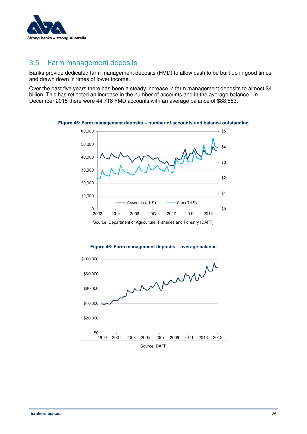

## <span id="page-27-0"></span>3.5 Farm management deposits

Banks provide dedicated farm management deposits (FMD) to allow cash to be built up in good times and drawn down in times of lower income.

Over the past five years there has been a steady increase in farm management deposits to almost \$4 billion. This has reflected an increase in the number of accounts and in the average balance. In December 2015 there were 44,718 FMD accounts with an average balance of \$88,553.



**Figure 45: Farm management deposits – number of accounts and balance outstanding** 



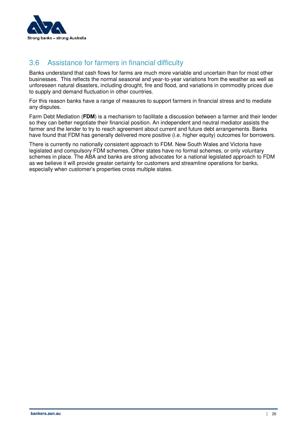

# <span id="page-28-0"></span>3.6 Assistance for farmers in financial difficulty

Banks understand that cash flows for farms are much more variable and uncertain than for most other businesses. This reflects the normal seasonal and year-to-year variations from the weather as well as unforeseen natural disasters, including drought, fire and flood, and variations in commodity prices due to supply and demand fluctuation in other countries.

For this reason banks have a range of measures to support farmers in financial stress and to mediate any disputes.

Farm Debt Mediation (**FDM**) is a mechanism to facilitate a discussion between a farmer and their lender so they can better negotiate their financial position. An independent and neutral mediator assists the farmer and the lender to try to reach agreement about current and future debt arrangements. Banks have found that FDM has generally delivered more positive (i.e. higher equity) outcomes for borrowers.

There is currently no nationally consistent approach to FDM. New South Wales and Victoria have legislated and compulsory FDM schemes. Other states have no formal schemes, or only voluntary schemes in place. The ABA and banks are strong advocates for a national legislated approach to FDM as we believe it will provide greater certainty for customers and streamline operations for banks, especially when customer's properties cross multiple states.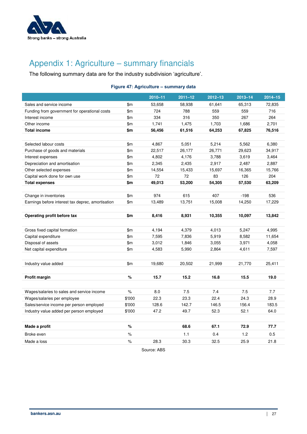

# <span id="page-29-0"></span>Appendix 1: Agriculture – summary financials

The following summary data are for the industry subdivision 'agriculture'.

#### **Figure 47: Agriculture – summary data**

|                                                   |        | 2010-11 | $2011 - 12$ | 2012-13 | $2013 - 14$ | $2014 - 15$ |
|---------------------------------------------------|--------|---------|-------------|---------|-------------|-------------|
| Sales and service income                          | \$m    | 53,658  | 58,938      | 61,641  | 65,313      | 72,835      |
| Funding from government for operational costs     | \$m\$  | 724     | 788         | 559     | 559         | 716         |
| Interest income                                   | \$m    | 334     | 316         | 350     | 267         | 264         |
| Other income                                      | \$m\$  | 1,741   | 1,475       | 1,703   | 1,686       | 2,701       |
| <b>Total income</b>                               | \$m    | 56,456  | 61,516      | 64,253  | 67,825      | 76,516      |
|                                                   |        |         |             |         |             |             |
| Selected labour costs                             | \$m\$  | 4,867   | 5,051       | 5,214   | 5,562       | 6,380       |
| Purchase of goods and materials                   | \$m    | 22,517  | 26,177      | 26,771  | 29,623      | 34,917      |
| Interest expenses                                 | \$m    | 4,802   | 4,176       | 3,788   | 3,619       | 3,464       |
| Depreciation and amortisation                     | \$m    | 2,345   | 2,435       | 2,917   | 2,487       | 2,887       |
| Other selected expenses                           | \$m    | 14,554  | 15,433      | 15,697  | 16,365      | 15,766      |
| Capital work done for own use                     | \$m    | 72      | 72          | 83      | 126         | 204         |
| <b>Total expenses</b>                             | \$m    | 49,013  | 53,200      | 54,305  | 57,530      | 63,209      |
|                                                   |        |         |             |         |             |             |
| Change in inventories                             | \$m\$  | 974     | 615         | 407     | $-198$      | 536         |
| Earnings before interest tax deprec, amortisation | \$m\$  | 13,489  | 13,751      | 15,008  | 14,250      | 17,229      |
|                                                   |        |         |             |         |             |             |
| Operating profit before tax                       | \$m    | 8,416   | 8,931       | 10,355  | 10,097      | 13,842      |
|                                                   |        |         |             |         |             |             |
| Gross fixed capital formation                     | \$m    | 4,194   | 4,379       | 4,013   | 5,247       | 4,995       |
| Capital expenditure                               | \$m    | 7,595   | 7,836       | 5,919   | 8,582       | 11,654      |
| Disposal of assets                                | \$m\$  | 3,012   | 1,846       | 3,055   | 3,971       | 4,058       |
| Net capital expenditure                           | \$m    | 4,583   | 5,990       | 2,864   | 4,611       | 7,597       |
|                                                   |        |         |             |         |             |             |
| Industry value added                              | \$m\$  | 19,680  | 20,502      | 21,999  | 21,770      | 25,411      |
|                                                   |        |         |             |         |             |             |
| Profit margin                                     | $\%$   | 15.7    | 15.2        | 16.8    | 15.5        | 19.0        |
|                                                   |        |         |             |         |             |             |
| Wages/salaries to sales and service income        | $\%$   | 8.0     | 7.5         | 7.4     | 7.5         | 7.7         |
| Wages/salaries per employee                       | \$'000 | 22.3    | 23.3        | 22.4    | 24.3        | 28.9        |
| Sales/service income per person employed          | \$'000 | 128.6   | 142.7       | 146.5   | 156.4       | 183.5       |
| Industry value added per person employed          | \$'000 | 47.2    | 49.7        | 52.3    | 52.1        | 64.0        |
|                                                   |        |         |             |         |             |             |
| Made a profit                                     | $\%$   |         | 68.6        | 67.1    | 72.9        | 77.7        |
|                                                   |        |         |             |         |             |             |
| Broke even                                        | $\%$   |         | 1.1         | 0.4     | 1.2         | 0.5         |
| Made a loss                                       | $\%$   | 28.3    | 30.3        | 32.5    | 25.9        | 21.8        |

Source: ABS